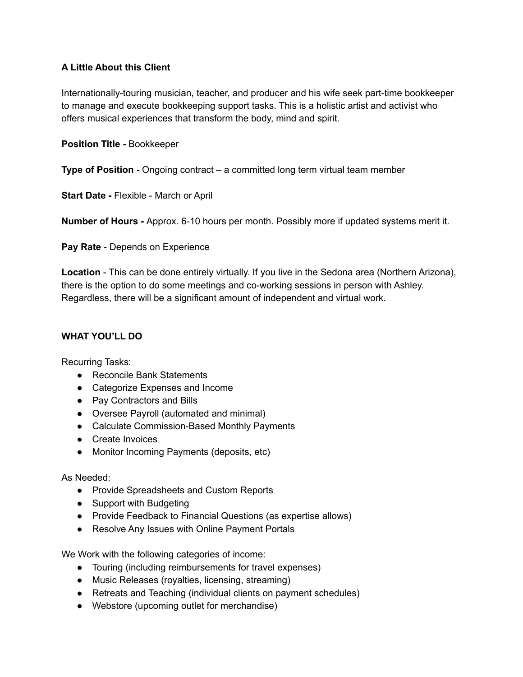## **A Little About this Client**

Internationally-touring musician, teacher, and producer and his wife seek part-time bookkeeper to manage and execute bookkeeping support tasks. This is a holistic artist and activist who offers musical experiences that transform the body, mind and spirit.

## **Position Title -** Bookkeeper

**Type of Position -** Ongoing contract – a committed long term virtual team member

**Start Date -** Flexible - March or April

**Number of Hours -** Approx. 6-10 hours per month. Possibly more if updated systems merit it.

**Pay Rate** - Depends on Experience

**Location** - This can be done entirely virtually. If you live in the Sedona area (Northern Arizona), there is the option to do some meetings and co-working sessions in person with Ashley. Regardless, there will be a significant amount of independent and virtual work.

## **WHAT YOU'LL DO**

Recurring Tasks:

- Reconcile Bank Statements
- Categorize Expenses and Income
- Pay Contractors and Bills
- Oversee Payroll (automated and minimal)
- Calculate Commission-Based Monthly Payments
- Create Invoices
- Monitor Incoming Payments (deposits, etc)

As Needed:

- Provide Spreadsheets and Custom Reports
- Support with Budgeting
- Provide Feedback to Financial Questions (as expertise allows)
- Resolve Any Issues with Online Payment Portals

We Work with the following categories of income:

- Touring (including reimbursements for travel expenses)
- Music Releases (royalties, licensing, streaming)
- Retreats and Teaching (individual clients on payment schedules)
- Webstore (upcoming outlet for merchandise)